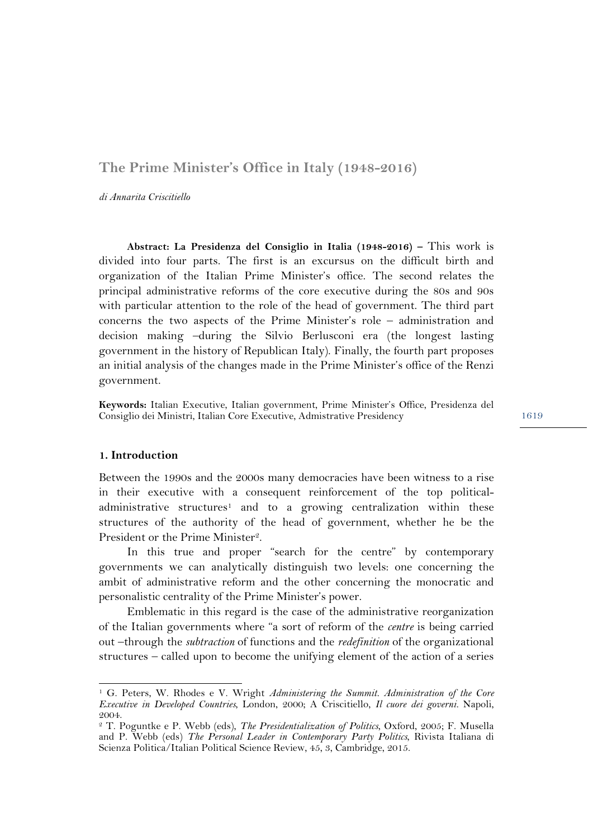# **The Prime Minister's Office in Italy (1948-2016)**

*di Annarita Criscitiello* 

**Abstract: La Presidenza del Consiglio in Italia (1948-2016) –** This work is divided into four parts. The first is an excursus on the difficult birth and organization of the Italian Prime Minister's office. The second relates the principal administrative reforms of the core executive during the 80s and 90s with particular attention to the role of the head of government. The third part concerns the two aspects of the Prime Minister's role – administration and decision making –during the Silvio Berlusconi era (the longest lasting government in the history of Republican Italy). Finally, the fourth part proposes an initial analysis of the changes made in the Prime Minister's office of the Renzi government.

**Keywords:** Italian Executive, Italian government, Prime Minister's Office, Presidenza del Consiglio dei Ministri, Italian Core Executive, Admistrative Presidency

#### **1. Introduction**

 $\overline{a}$ 

Between the 1990s and the 2000s many democracies have been witness to a rise in their executive with a consequent reinforcement of the top politicaladministrative structures<sup>1</sup> and to a growing centralization within these structures of the authority of the head of government, whether he be the President or the Prime Minister2.

In this true and proper "search for the centre" by contemporary governments we can analytically distinguish two levels: one concerning the ambit of administrative reform and the other concerning the monocratic and personalistic centrality of the Prime Minister's power.

Emblematic in this regard is the case of the administrative reorganization of the Italian governments where "a sort of reform of the *centre* is being carried out –through the *subtraction* of functions and the *redefinition* of the organizational structures – called upon to become the unifying element of the action of a series

<sup>1</sup> G. Peters, W. Rhodes e V. Wright *Administering the Summit. Administration of the Core Executive in Developed Countries*, London, 2000; A Criscitiello, *Il cuore dei governi.* Napoli, 2004.

<sup>2</sup> T. Poguntke e P. Webb (eds), *The Presidentialization of Politics*, Oxford, 2005; F. Musella and P. Webb (eds) *The Personal Leader in Contemporary Party Politics*, Rivista Italiana di Scienza Politica/Italian Political Science Review, 45, 3, Cambridge, 2015.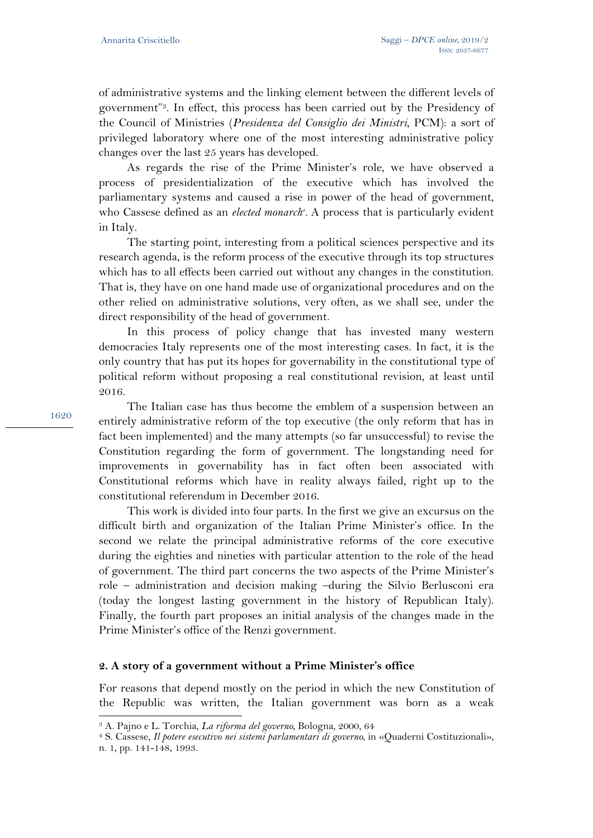of administrative systems and the linking element between the different levels of government"3. In effect, this process has been carried out by the Presidency of the Council of Ministries (*Presidenza del Consiglio dei Ministri*, PCM): a sort of privileged laboratory where one of the most interesting administrative policy changes over the last 25 years has developed.

As regards the rise of the Prime Minister's role, we have observed a process of presidentialization of the executive which has involved the parliamentary systems and caused a rise in power of the head of government, who Cassese defined as an *elected monarch<sup>4</sup>*. A process that is particularly evident in Italy.

The starting point, interesting from a political sciences perspective and its research agenda, is the reform process of the executive through its top structures which has to all effects been carried out without any changes in the constitution. That is, they have on one hand made use of organizational procedures and on the other relied on administrative solutions, very often, as we shall see, under the direct responsibility of the head of government.

In this process of policy change that has invested many western democracies Italy represents one of the most interesting cases. In fact, it is the only country that has put its hopes for governability in the constitutional type of political reform without proposing a real constitutional revision, at least until 2016.

The Italian case has thus become the emblem of a suspension between an entirely administrative reform of the top executive (the only reform that has in fact been implemented) and the many attempts (so far unsuccessful) to revise the Constitution regarding the form of government. The longstanding need for improvements in governability has in fact often been associated with Constitutional reforms which have in reality always failed, right up to the constitutional referendum in December 2016.

This work is divided into four parts. In the first we give an excursus on the difficult birth and organization of the Italian Prime Minister's office. In the second we relate the principal administrative reforms of the core executive during the eighties and nineties with particular attention to the role of the head of government. The third part concerns the two aspects of the Prime Minister's role – administration and decision making –during the Silvio Berlusconi era (today the longest lasting government in the history of Republican Italy). Finally, the fourth part proposes an initial analysis of the changes made in the Prime Minister's office of the Renzi government.

## **2. A story of a government without a Prime Minister's office**

For reasons that depend mostly on the period in which the new Constitution of the Republic was written, the Italian government was born as a weak

<sup>3</sup> A. Pajno e L. Torchia, *La riforma del governo*, Bologna, 2000, 64 4 S. Cassese, *Il potere esecutivo nei sistemi parlamentari di governo*, in «Quaderni Costituzionali»,

n. 1, pp. 141-148, 1993.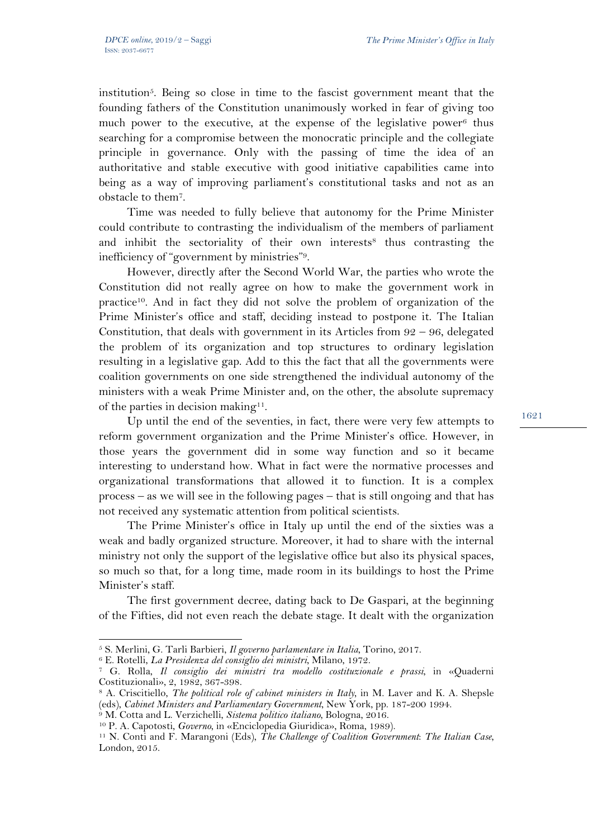institution<sup>5</sup>. Being so close in time to the fascist government meant that the founding fathers of the Constitution unanimously worked in fear of giving too much power to the executive, at the expense of the legislative power<sup>6</sup> thus searching for a compromise between the monocratic principle and the collegiate principle in governance. Only with the passing of time the idea of an authoritative and stable executive with good initiative capabilities came into being as a way of improving parliament's constitutional tasks and not as an obstacle to them7.

Time was needed to fully believe that autonomy for the Prime Minister could contribute to contrasting the individualism of the members of parliament and inhibit the sectoriality of their own interests<sup>8</sup> thus contrasting the inefficiency of "government by ministries"9.

However, directly after the Second World War, the parties who wrote the Constitution did not really agree on how to make the government work in practice10. And in fact they did not solve the problem of organization of the Prime Minister's office and staff, deciding instead to postpone it. The Italian Constitution, that deals with government in its Articles from  $92 - 96$ , delegated the problem of its organization and top structures to ordinary legislation resulting in a legislative gap. Add to this the fact that all the governments were coalition governments on one side strengthened the individual autonomy of the ministers with a weak Prime Minister and, on the other, the absolute supremacy of the parties in decision making<sup>11</sup>.

Up until the end of the seventies, in fact, there were very few attempts to reform government organization and the Prime Minister's office. However, in those years the government did in some way function and so it became interesting to understand how. What in fact were the normative processes and organizational transformations that allowed it to function. It is a complex process – as we will see in the following pages – that is still ongoing and that has not received any systematic attention from political scientists.

The Prime Minister's office in Italy up until the end of the sixties was a weak and badly organized structure. Moreover, it had to share with the internal ministry not only the support of the legislative office but also its physical spaces, so much so that, for a long time, made room in its buildings to host the Prime Minister's staff.

The first government decree, dating back to De Gaspari, at the beginning of the Fifties, did not even reach the debate stage. It dealt with the organization

<sup>&</sup>lt;sup>5</sup> S. Merlini, G. Tarli Barbieri, *Il governo parlamentare in Italia*, Torino, 2017.<br><sup>6</sup> E. Rotelli, *La Presidenza del consiglio dei ministri*, Milano, 1972.<br><sup>7</sup> G. Rolla, *Il consiglio dei ministri tra modello costituzi* Costituzionali», 2, 1982, 367-398.

<sup>8</sup> A. Criscitiello, *The political role of cabinet ministers in Italy*, in M. Laver and K. A. Shepsle

<sup>&</sup>lt;sup>9</sup> M. Cotta and L. Verzichelli, *Sistema politico italiano*, Bologna, 2016.<br><sup>10</sup> P. A. Capotosti, *Governo*, in «Enciclopedia Giuridica», Roma, 1989).<br><sup>11</sup> N. Conti and F. Marangoni (Eds), *The Challenge of Coalition Gov* 

London, 2015.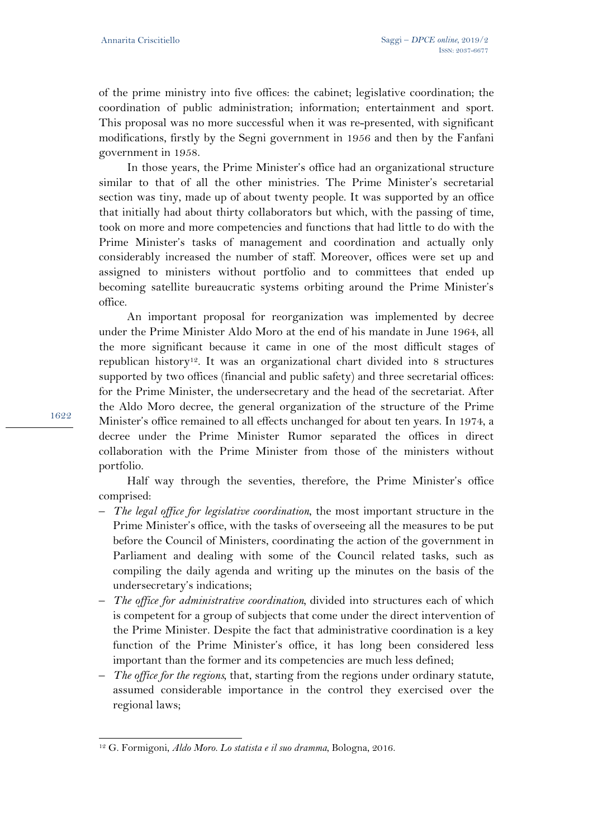of the prime ministry into five offices: the cabinet; legislative coordination; the coordination of public administration; information; entertainment and sport. This proposal was no more successful when it was re-presented, with significant modifications, firstly by the Segni government in 1956 and then by the Fanfani government in 1958.

In those years, the Prime Minister's office had an organizational structure similar to that of all the other ministries. The Prime Minister's secretarial section was tiny, made up of about twenty people. It was supported by an office that initially had about thirty collaborators but which, with the passing of time, took on more and more competencies and functions that had little to do with the Prime Minister's tasks of management and coordination and actually only considerably increased the number of staff. Moreover, offices were set up and assigned to ministers without portfolio and to committees that ended up becoming satellite bureaucratic systems orbiting around the Prime Minister's office.

An important proposal for reorganization was implemented by decree under the Prime Minister Aldo Moro at the end of his mandate in June 1964, all the more significant because it came in one of the most difficult stages of republican history12. It was an organizational chart divided into 8 structures supported by two offices (financial and public safety) and three secretarial offices: for the Prime Minister, the undersecretary and the head of the secretariat. After the Aldo Moro decree, the general organization of the structure of the Prime Minister's office remained to all effects unchanged for about ten years. In 1974, a decree under the Prime Minister Rumor separated the offices in direct collaboration with the Prime Minister from those of the ministers without portfolio.

Half way through the seventies, therefore, the Prime Minister's office comprised:

- *The legal office for legislative coordination*, the most important structure in the Prime Minister's office, with the tasks of overseeing all the measures to be put before the Council of Ministers, coordinating the action of the government in Parliament and dealing with some of the Council related tasks, such as compiling the daily agenda and writing up the minutes on the basis of the undersecretary's indications;
- *The office for administrative coordination,* divided into structures each of which is competent for a group of subjects that come under the direct intervention of the Prime Minister. Despite the fact that administrative coordination is a key function of the Prime Minister's office, it has long been considered less important than the former and its competencies are much less defined;
- *The office for the regions,* that, starting from the regions under ordinary statute, assumed considerable importance in the control they exercised over the regional laws;

 $\overline{a}$ 12 G. Formigoni, *Aldo Moro. Lo statista e il suo dramma*, Bologna, 2016.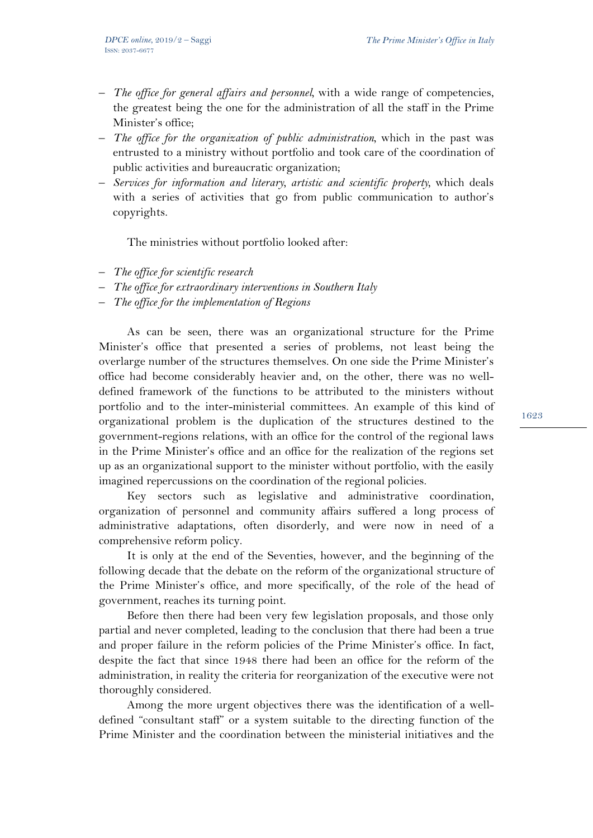- *The office for general affairs and personnel,* with a wide range of competencies, the greatest being the one for the administration of all the staff in the Prime Minister's office;
- *The office for the organization of public administration,* which in the past was entrusted to a ministry without portfolio and took care of the coordination of public activities and bureaucratic organization;
- *Services for information and literary, artistic and scientific property,* which deals with a series of activities that go from public communication to author's copyrights.

The ministries without portfolio looked after:

- *The office for scientific research*
- *The office for extraordinary interventions in Southern Italy*
- *The office for the implementation of Regions*

As can be seen, there was an organizational structure for the Prime Minister's office that presented a series of problems, not least being the overlarge number of the structures themselves. On one side the Prime Minister's office had become considerably heavier and, on the other, there was no welldefined framework of the functions to be attributed to the ministers without portfolio and to the inter-ministerial committees. An example of this kind of organizational problem is the duplication of the structures destined to the government-regions relations, with an office for the control of the regional laws in the Prime Minister's office and an office for the realization of the regions set up as an organizational support to the minister without portfolio, with the easily imagined repercussions on the coordination of the regional policies.

Key sectors such as legislative and administrative coordination, organization of personnel and community affairs suffered a long process of administrative adaptations, often disorderly, and were now in need of a comprehensive reform policy.

It is only at the end of the Seventies, however, and the beginning of the following decade that the debate on the reform of the organizational structure of the Prime Minister's office, and more specifically, of the role of the head of government, reaches its turning point.

Before then there had been very few legislation proposals, and those only partial and never completed, leading to the conclusion that there had been a true and proper failure in the reform policies of the Prime Minister's office. In fact, despite the fact that since 1948 there had been an office for the reform of the administration, in reality the criteria for reorganization of the executive were not thoroughly considered.

Among the more urgent objectives there was the identification of a welldefined "consultant staff" or a system suitable to the directing function of the Prime Minister and the coordination between the ministerial initiatives and the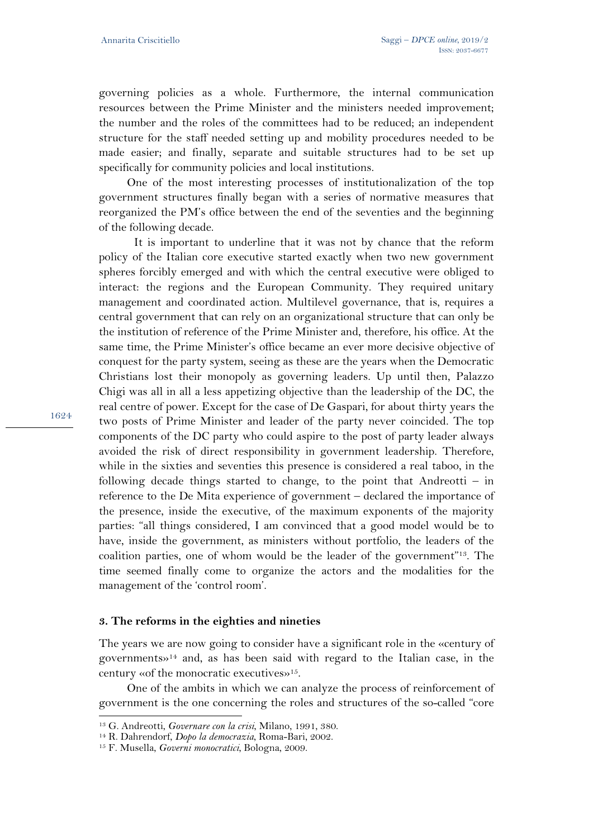governing policies as a whole. Furthermore, the internal communication resources between the Prime Minister and the ministers needed improvement; the number and the roles of the committees had to be reduced; an independent structure for the staff needed setting up and mobility procedures needed to be made easier; and finally, separate and suitable structures had to be set up specifically for community policies and local institutions.

One of the most interesting processes of institutionalization of the top government structures finally began with a series of normative measures that reorganized the PM's office between the end of the seventies and the beginning of the following decade.

 It is important to underline that it was not by chance that the reform policy of the Italian core executive started exactly when two new government spheres forcibly emerged and with which the central executive were obliged to interact: the regions and the European Community. They required unitary management and coordinated action. Multilevel governance, that is, requires a central government that can rely on an organizational structure that can only be the institution of reference of the Prime Minister and, therefore, his office. At the same time, the Prime Minister's office became an ever more decisive objective of conquest for the party system, seeing as these are the years when the Democratic Christians lost their monopoly as governing leaders. Up until then, Palazzo Chigi was all in all a less appetizing objective than the leadership of the DC, the real centre of power. Except for the case of De Gaspari, for about thirty years the two posts of Prime Minister and leader of the party never coincided. The top components of the DC party who could aspire to the post of party leader always avoided the risk of direct responsibility in government leadership. Therefore, while in the sixties and seventies this presence is considered a real taboo, in the following decade things started to change, to the point that Andreotti – in reference to the De Mita experience of government – declared the importance of the presence, inside the executive, of the maximum exponents of the majority parties: "all things considered, I am convinced that a good model would be to have, inside the government, as ministers without portfolio, the leaders of the coalition parties, one of whom would be the leader of the government"13. The time seemed finally come to organize the actors and the modalities for the management of the 'control room'.

#### **3. The reforms in the eighties and nineties**

The years we are now going to consider have a significant role in the «century of governments»14 and, as has been said with regard to the Italian case, in the century «of the monocratic executives»15.

One of the ambits in which we can analyze the process of reinforcement of government is the one concerning the roles and structures of the so-called "core

1624

<sup>13</sup> G. Andreotti, *Governare con la crisi*, Milano, 1991, 380. 14 R. Dahrendorf, *Dopo la democrazia*, Roma-Bari, 2002. 15 F. Musella, *Governi monocratici*, Bologna, 2009.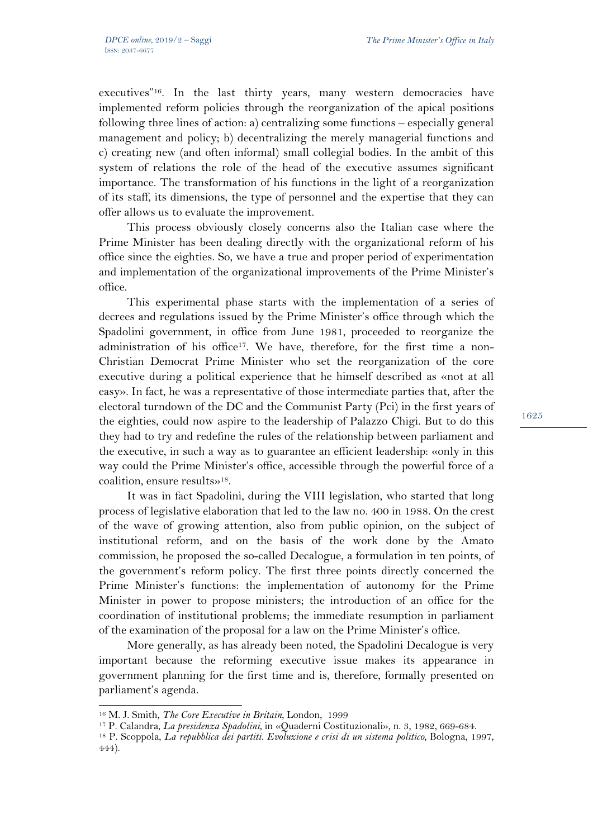executives"16. In the last thirty years, many western democracies have implemented reform policies through the reorganization of the apical positions following three lines of action: a) centralizing some functions – especially general management and policy; b) decentralizing the merely managerial functions and c) creating new (and often informal) small collegial bodies. In the ambit of this system of relations the role of the head of the executive assumes significant importance. The transformation of his functions in the light of a reorganization of its staff, its dimensions, the type of personnel and the expertise that they can offer allows us to evaluate the improvement.

This process obviously closely concerns also the Italian case where the Prime Minister has been dealing directly with the organizational reform of his office since the eighties. So, we have a true and proper period of experimentation and implementation of the organizational improvements of the Prime Minister's office.

This experimental phase starts with the implementation of a series of decrees and regulations issued by the Prime Minister's office through which the Spadolini government, in office from June 1981, proceeded to reorganize the administration of his office<sup>17</sup>. We have, therefore, for the first time a non-Christian Democrat Prime Minister who set the reorganization of the core executive during a political experience that he himself described as «not at all easy». In fact, he was a representative of those intermediate parties that, after the electoral turndown of the DC and the Communist Party (Pci) in the first years of the eighties, could now aspire to the leadership of Palazzo Chigi. But to do this they had to try and redefine the rules of the relationship between parliament and the executive, in such a way as to guarantee an efficient leadership: «only in this way could the Prime Minister's office, accessible through the powerful force of a coalition, ensure results»18.

It was in fact Spadolini, during the VIII legislation, who started that long process of legislative elaboration that led to the law no. 400 in 1988. On the crest of the wave of growing attention, also from public opinion, on the subject of institutional reform, and on the basis of the work done by the Amato commission, he proposed the so-called Decalogue, a formulation in ten points, of the government's reform policy. The first three points directly concerned the Prime Minister's functions: the implementation of autonomy for the Prime Minister in power to propose ministers; the introduction of an office for the coordination of institutional problems; the immediate resumption in parliament of the examination of the proposal for a law on the Prime Minister's office.

More generally, as has already been noted, the Spadolini Decalogue is very important because the reforming executive issue makes its appearance in government planning for the first time and is, therefore, formally presented on parliament's agenda.

<sup>&</sup>lt;sup>16</sup> M. J. Smith, *The Core Executive in Britain*, London, 1999<br><sup>17</sup> P. Calandra, *La presidenza Spadolini*, in «Quaderni Costituzionali», n. 3, 1982, 669-684.<br><sup>18</sup> P. Scoppola, *La repubblica dei partiti. Evoluzione e cri* 

<sup>444).</sup>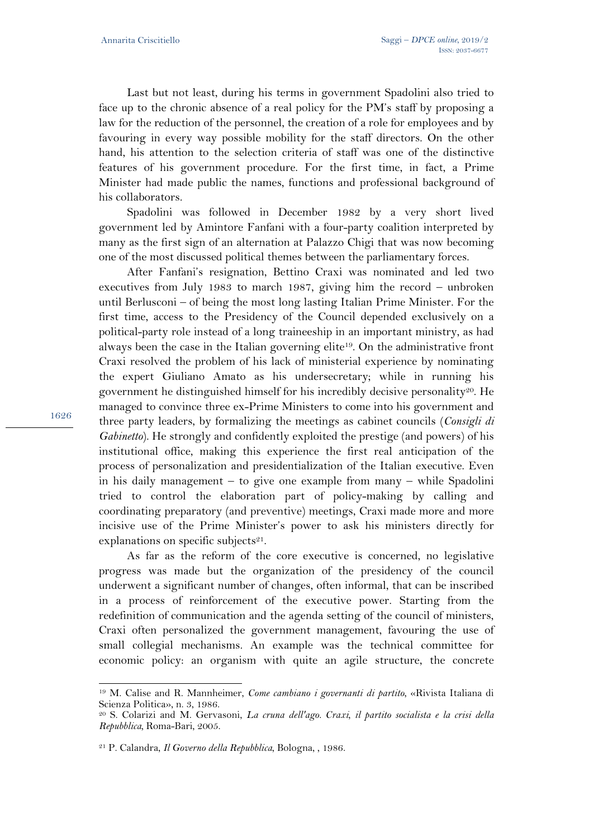Last but not least, during his terms in government Spadolini also tried to face up to the chronic absence of a real policy for the PM's staff by proposing a law for the reduction of the personnel, the creation of a role for employees and by favouring in every way possible mobility for the staff directors. On the other hand, his attention to the selection criteria of staff was one of the distinctive features of his government procedure. For the first time, in fact, a Prime Minister had made public the names, functions and professional background of his collaborators.

Spadolini was followed in December 1982 by a very short lived government led by Amintore Fanfani with a four-party coalition interpreted by many as the first sign of an alternation at Palazzo Chigi that was now becoming one of the most discussed political themes between the parliamentary forces.

After Fanfani's resignation, Bettino Craxi was nominated and led two executives from July 1983 to march 1987, giving him the record – unbroken until Berlusconi – of being the most long lasting Italian Prime Minister. For the first time, access to the Presidency of the Council depended exclusively on a political-party role instead of a long traineeship in an important ministry, as had always been the case in the Italian governing elite<sup>19</sup>. On the administrative front Craxi resolved the problem of his lack of ministerial experience by nominating the expert Giuliano Amato as his undersecretary; while in running his government he distinguished himself for his incredibly decisive personality<sup>20</sup>. He managed to convince three ex-Prime Ministers to come into his government and three party leaders, by formalizing the meetings as cabinet councils (*Consigli di Gabinetto*). He strongly and confidently exploited the prestige (and powers) of his institutional office, making this experience the first real anticipation of the process of personalization and presidentialization of the Italian executive. Even in his daily management – to give one example from many – while Spadolini tried to control the elaboration part of policy-making by calling and coordinating preparatory (and preventive) meetings, Craxi made more and more incisive use of the Prime Minister's power to ask his ministers directly for explanations on specific subjects $21$ .

As far as the reform of the core executive is concerned, no legislative progress was made but the organization of the presidency of the council underwent a significant number of changes, often informal, that can be inscribed in a process of reinforcement of the executive power. Starting from the redefinition of communication and the agenda setting of the council of ministers, Craxi often personalized the government management, favouring the use of small collegial mechanisms. An example was the technical committee for economic policy: an organism with quite an agile structure, the concrete

1626

<sup>19</sup> M. Calise and R. Mannheimer, *Come cambiano i governanti di partito*, «Rivista Italiana di Scienza Politica», n. 3, 1986.

<sup>20</sup> S. Colarizi and M. Gervasoni, *La cruna dell'ago. Craxi, il partito socialista e la crisi della Repubblica,* Roma-Bari, 2005.

<sup>21</sup> P. Calandra, *Il Governo della Repubblica*, Bologna, , 1986.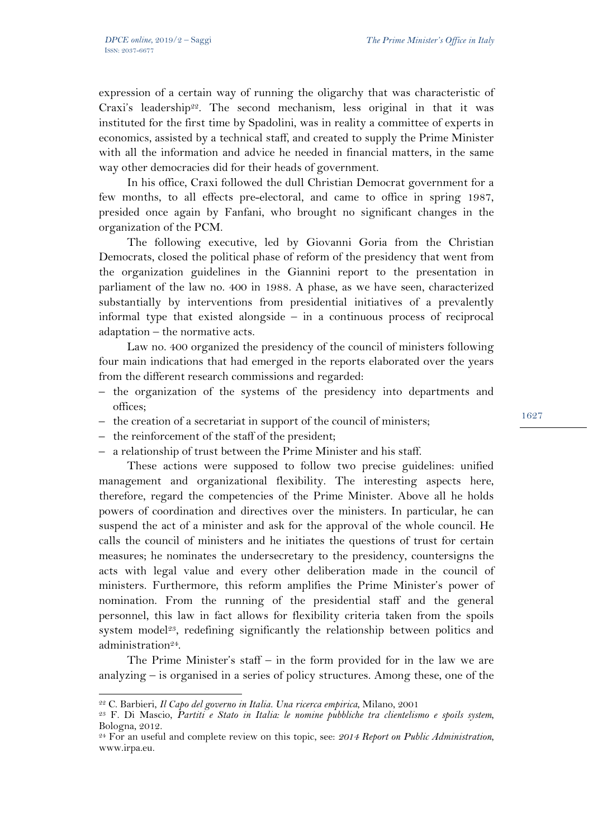expression of a certain way of running the oligarchy that was characteristic of Craxi's leadership<sup>22</sup>. The second mechanism, less original in that it was instituted for the first time by Spadolini, was in reality a committee of experts in economics, assisted by a technical staff, and created to supply the Prime Minister with all the information and advice he needed in financial matters, in the same way other democracies did for their heads of government.

In his office, Craxi followed the dull Christian Democrat government for a few months, to all effects pre-electoral, and came to office in spring 1987, presided once again by Fanfani, who brought no significant changes in the organization of the PCM.

The following executive, led by Giovanni Goria from the Christian Democrats, closed the political phase of reform of the presidency that went from the organization guidelines in the Giannini report to the presentation in parliament of the law no. 400 in 1988. A phase, as we have seen, characterized substantially by interventions from presidential initiatives of a prevalently informal type that existed alongside – in a continuous process of reciprocal adaptation – the normative acts.

Law no. 400 organized the presidency of the council of ministers following four main indications that had emerged in the reports elaborated over the years from the different research commissions and regarded:

- the organization of the systems of the presidency into departments and offices;
- the creation of a secretariat in support of the council of ministers;
- the reinforcement of the staff of the president;
- a relationship of trust between the Prime Minister and his staff.

These actions were supposed to follow two precise guidelines: unified management and organizational flexibility. The interesting aspects here, therefore, regard the competencies of the Prime Minister. Above all he holds powers of coordination and directives over the ministers. In particular, he can suspend the act of a minister and ask for the approval of the whole council. He calls the council of ministers and he initiates the questions of trust for certain measures; he nominates the undersecretary to the presidency, countersigns the acts with legal value and every other deliberation made in the council of ministers. Furthermore, this reform amplifies the Prime Minister's power of nomination. From the running of the presidential staff and the general personnel, this law in fact allows for flexibility criteria taken from the spoils system model<sup>23</sup>, redefining significantly the relationship between politics and administration<sup>24</sup>.

The Prime Minister's staff – in the form provided for in the law we are analyzing  $-$  is organised in a series of policy structures. Among these, one of the

l

<sup>&</sup>lt;sup>22</sup> C. Barbieri, *Il Capo del governo in Italia. Una ricerca empirica*, Milano, 2001<br><sup>23</sup> F. Di Mascio, *Partiti e Stato in Italia: le nomine pubbliche tra clientelismo e spoils system*, Bologna, 2012.

<sup>24</sup> For an useful and complete review on this topic, see: *2014 Report on Public Administration*, www.irpa.eu.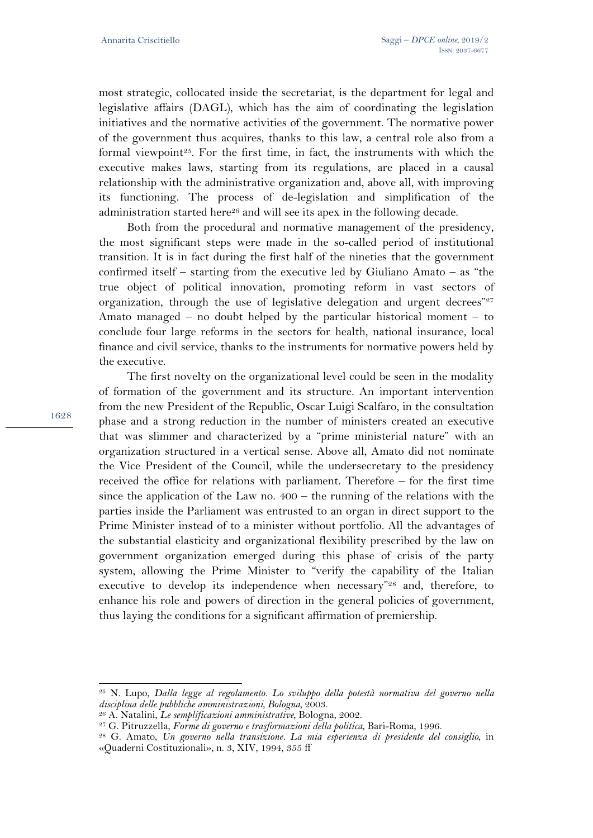most strategic, collocated inside the secretariat, is the department for legal and legislative affairs (DAGL), which has the aim of coordinating the legislation initiatives and the normative activities of the government. The normative power of the government thus acquires, thanks to this law, a central role also from a formal viewpoint<sup>25</sup>. For the first time, in fact, the instruments with which the executive makes laws, starting from its regulations, are placed in a causal relationship with the administrative organization and, above all, with improving its functioning. The process of de-legislation and simplification of the administration started here<sup>26</sup> and will see its apex in the following decade.

Both from the procedural and normative management of the presidency, the most significant steps were made in the so-called period of institutional transition. It is in fact during the first half of the nineties that the government confirmed itself – starting from the executive led by Giuliano Amato – as "the true object of political innovation, promoting reform in vast sectors of organization, through the use of legislative delegation and urgent decrees"<sup>27</sup> Amato managed – no doubt helped by the particular historical moment – to conclude four large reforms in the sectors for health, national insurance, local finance and civil service, thanks to the instruments for normative powers held by the executive.

The first novelty on the organizational level could be seen in the modality of formation of the government and its structure. An important intervention from the new President of the Republic, Oscar Luigi Scalfaro, in the consultation phase and a strong reduction in the number of ministers created an executive that was slimmer and characterized by a "prime ministerial nature" with an organization structured in a vertical sense. Above all, Amato did not nominate the Vice President of the Council, while the undersecretary to the presidency received the office for relations with parliament. Therefore – for the first time since the application of the Law no. 400 – the running of the relations with the parties inside the Parliament was entrusted to an organ in direct support to the Prime Minister instead of to a minister without portfolio. All the advantages of the substantial elasticity and organizational flexibility prescribed by the law on government organization emerged during this phase of crisis of the party system, allowing the Prime Minister to "verify the capability of the Italian executive to develop its independence when necessary"<sup>28</sup> and, therefore, to enhance his role and powers of direction in the general policies of government, thus laying the conditions for a significant affirmation of premiership.

1628

<sup>25</sup> N. Lupo, *Dalla legge al regolamento. Lo sviluppo della potestà normativa del governo nella* 

<sup>&</sup>lt;sup>26</sup> A. Natalini, Le semplificazioni amministrative, Bologna, 2002.<br><sup>27</sup> G. Pitruzzella, Forme di governo e trasformazioni della politica, Bari-Roma, 1996.<br><sup>28</sup> G. Amato, Un governo nella transizione. La mia esperienza di «Quaderni Costituzionali», n. 3, XIV, 1994, 355 ff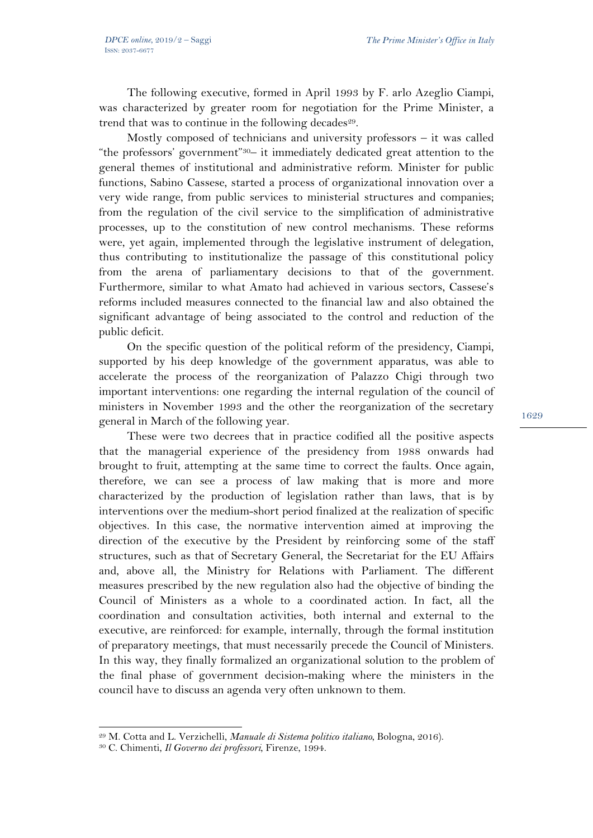The following executive, formed in April 1993 by F. arlo Azeglio Ciampi, was characterized by greater room for negotiation for the Prime Minister, a trend that was to continue in the following decades<sup>29</sup>.

Mostly composed of technicians and university professors – it was called "the professors' government"30– it immediately dedicated great attention to the general themes of institutional and administrative reform. Minister for public functions, Sabino Cassese, started a process of organizational innovation over a very wide range, from public services to ministerial structures and companies; from the regulation of the civil service to the simplification of administrative processes, up to the constitution of new control mechanisms. These reforms were, yet again, implemented through the legislative instrument of delegation, thus contributing to institutionalize the passage of this constitutional policy from the arena of parliamentary decisions to that of the government. Furthermore, similar to what Amato had achieved in various sectors, Cassese's reforms included measures connected to the financial law and also obtained the significant advantage of being associated to the control and reduction of the public deficit.

On the specific question of the political reform of the presidency, Ciampi, supported by his deep knowledge of the government apparatus, was able to accelerate the process of the reorganization of Palazzo Chigi through two important interventions: one regarding the internal regulation of the council of ministers in November 1993 and the other the reorganization of the secretary general in March of the following year.

These were two decrees that in practice codified all the positive aspects that the managerial experience of the presidency from 1988 onwards had brought to fruit, attempting at the same time to correct the faults. Once again, therefore, we can see a process of law making that is more and more characterized by the production of legislation rather than laws, that is by interventions over the medium-short period finalized at the realization of specific objectives. In this case, the normative intervention aimed at improving the direction of the executive by the President by reinforcing some of the staff structures, such as that of Secretary General, the Secretariat for the EU Affairs and, above all, the Ministry for Relations with Parliament. The different measures prescribed by the new regulation also had the objective of binding the Council of Ministers as a whole to a coordinated action. In fact, all the coordination and consultation activities, both internal and external to the executive, are reinforced: for example, internally, through the formal institution of preparatory meetings, that must necessarily precede the Council of Ministers. In this way, they finally formalized an organizational solution to the problem of the final phase of government decision-making where the ministers in the council have to discuss an agenda very often unknown to them.

 $\overline{a}$ 

<sup>29</sup> M. Cotta and L. Verzichelli, *Manuale di Sistema politico italiano*, Bologna, 2016). 30 C. Chimenti, *Il Governo dei professori*, Firenze, 1994.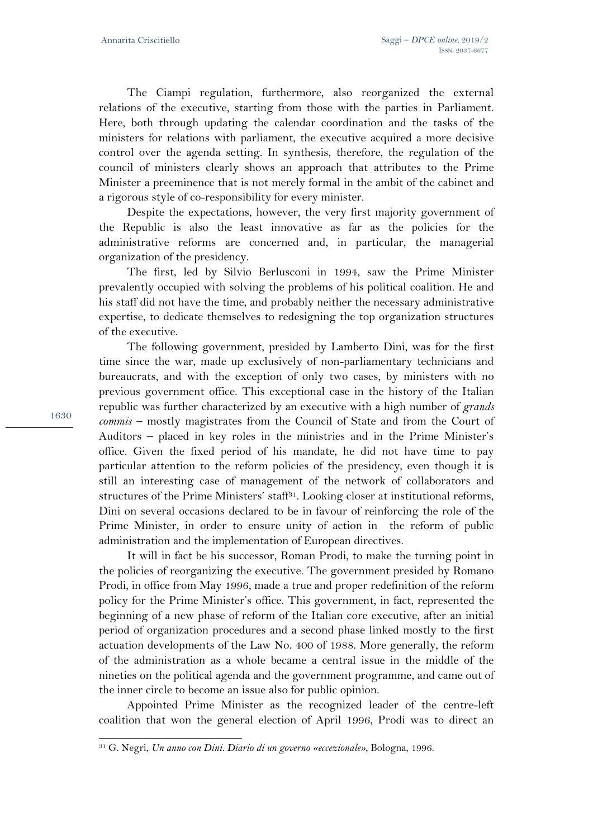The Ciampi regulation, furthermore, also reorganized the external relations of the executive, starting from those with the parties in Parliament. Here, both through updating the calendar coordination and the tasks of the ministers for relations with parliament, the executive acquired a more decisive control over the agenda setting. In synthesis, therefore, the regulation of the council of ministers clearly shows an approach that attributes to the Prime Minister a preeminence that is not merely formal in the ambit of the cabinet and a rigorous style of co-responsibility for every minister.

Despite the expectations, however, the very first majority government of the Republic is also the least innovative as far as the policies for the administrative reforms are concerned and, in particular, the managerial organization of the presidency.

The first, led by Silvio Berlusconi in 1994, saw the Prime Minister prevalently occupied with solving the problems of his political coalition. He and his staff did not have the time, and probably neither the necessary administrative expertise, to dedicate themselves to redesigning the top organization structures of the executive.

The following government, presided by Lamberto Dini, was for the first time since the war, made up exclusively of non-parliamentary technicians and bureaucrats, and with the exception of only two cases, by ministers with no previous government office. This exceptional case in the history of the Italian republic was further characterized by an executive with a high number of *grands commis* – mostly magistrates from the Council of State and from the Court of Auditors – placed in key roles in the ministries and in the Prime Minister's office. Given the fixed period of his mandate, he did not have time to pay particular attention to the reform policies of the presidency, even though it is still an interesting case of management of the network of collaborators and structures of the Prime Ministers' staff<sup>31</sup>. Looking closer at institutional reforms, Dini on several occasions declared to be in favour of reinforcing the role of the Prime Minister, in order to ensure unity of action in the reform of public administration and the implementation of European directives.

It will in fact be his successor, Roman Prodi, to make the turning point in the policies of reorganizing the executive. The government presided by Romano Prodi, in office from May 1996, made a true and proper redefinition of the reform policy for the Prime Minister's office. This government, in fact, represented the beginning of a new phase of reform of the Italian core executive, after an initial period of organization procedures and a second phase linked mostly to the first actuation developments of the Law No. 400 of 1988. More generally, the reform of the administration as a whole became a central issue in the middle of the nineties on the political agenda and the government programme, and came out of the inner circle to become an issue also for public opinion.

Appointed Prime Minister as the recognized leader of the centre-left coalition that won the general election of April 1996, Prodi was to direct an

1630

<sup>31</sup> G. Negri, *Un anno con Dini. Diario di un governo «eccezionale»*, Bologna, 1996.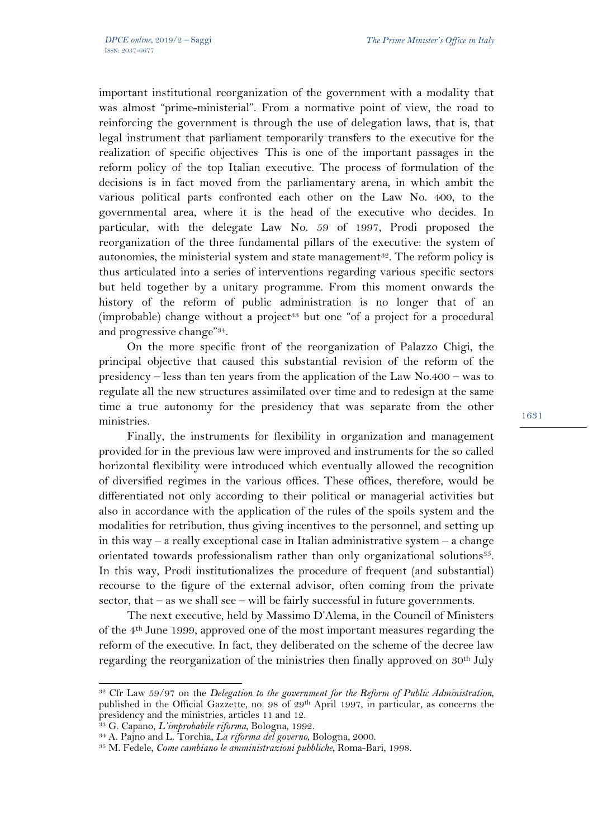important institutional reorganization of the government with a modality that was almost "prime-ministerial". From a normative point of view, the road to reinforcing the government is through the use of delegation laws, that is, that legal instrument that parliament temporarily transfers to the executive for the realization of specific objectives. This is one of the important passages in the reform policy of the top Italian executive. The process of formulation of the decisions is in fact moved from the parliamentary arena, in which ambit the various political parts confronted each other on the Law No. 400, to the governmental area, where it is the head of the executive who decides. In particular, with the delegate Law No. 59 of 1997, Prodi proposed the reorganization of the three fundamental pillars of the executive: the system of autonomies, the ministerial system and state management<sup>32</sup>. The reform policy is thus articulated into a series of interventions regarding various specific sectors but held together by a unitary programme. From this moment onwards the history of the reform of public administration is no longer that of an (improbable) change without a project<sup>33</sup> but one "of a project for a procedural and progressive change"34.

On the more specific front of the reorganization of Palazzo Chigi, the principal objective that caused this substantial revision of the reform of the presidency – less than ten years from the application of the Law No.400 – was to regulate all the new structures assimilated over time and to redesign at the same time a true autonomy for the presidency that was separate from the other ministries.

Finally, the instruments for flexibility in organization and management provided for in the previous law were improved and instruments for the so called horizontal flexibility were introduced which eventually allowed the recognition of diversified regimes in the various offices. These offices, therefore, would be differentiated not only according to their political or managerial activities but also in accordance with the application of the rules of the spoils system and the modalities for retribution, thus giving incentives to the personnel, and setting up in this way – a really exceptional case in Italian administrative system – a change orientated towards professionalism rather than only organizational solutions<sup>35</sup>. In this way, Prodi institutionalizes the procedure of frequent (and substantial) recourse to the figure of the external advisor, often coming from the private sector, that – as we shall see – will be fairly successful in future governments.

The next executive, held by Massimo D'Alema, in the Council of Ministers of the 4th June 1999, approved one of the most important measures regarding the reform of the executive. In fact, they deliberated on the scheme of the decree law regarding the reorganization of the ministries then finally approved on 30<sup>th</sup> July

<sup>32</sup> Cfr Law 59/97 on the *Delegation to the government for the Reform of Public Administration*, published in the Official Gazzette, no. 98 of 29<sup>th</sup> April 1997, in particular, as concerns the presidency and the ministries, articles 11 and 12.

<sup>&</sup>lt;sup>33</sup> G. Capano, *L'improbabile riforma*, Bologna, 1992.<br><sup>34</sup> A. Pajno and L. Torchia, *La riforma del governo*, Bologna, 2000.<br><sup>35</sup> M. Fedele, *Come cambiano le amministrazioni pubbliche*, Roma-Bari, 1998.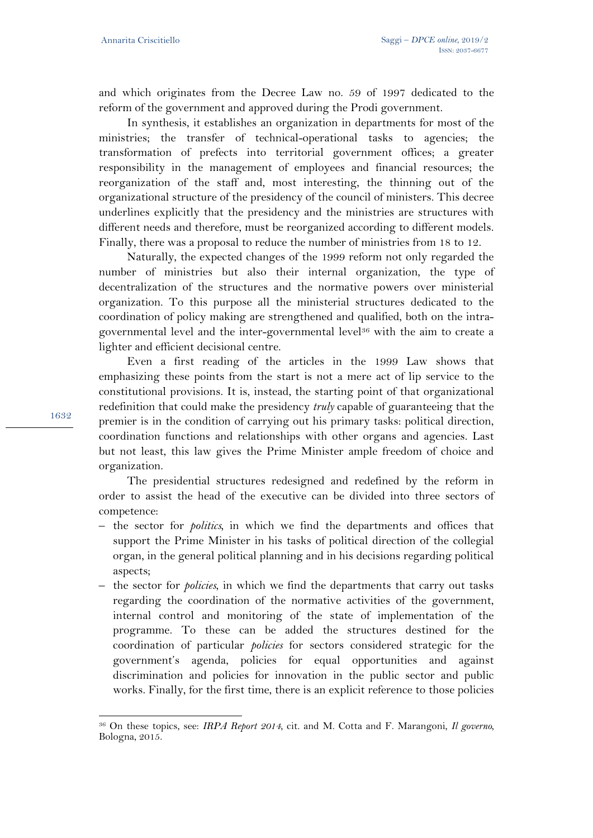and which originates from the Decree Law no. 59 of 1997 dedicated to the reform of the government and approved during the Prodi government.

In synthesis, it establishes an organization in departments for most of the ministries; the transfer of technical-operational tasks to agencies; the transformation of prefects into territorial government offices; a greater responsibility in the management of employees and financial resources; the reorganization of the staff and, most interesting, the thinning out of the organizational structure of the presidency of the council of ministers. This decree underlines explicitly that the presidency and the ministries are structures with different needs and therefore, must be reorganized according to different models. Finally, there was a proposal to reduce the number of ministries from 18 to 12.

Naturally, the expected changes of the 1999 reform not only regarded the number of ministries but also their internal organization, the type of decentralization of the structures and the normative powers over ministerial organization. To this purpose all the ministerial structures dedicated to the coordination of policy making are strengthened and qualified, both on the intragovernmental level and the inter-governmental level36 with the aim to create a lighter and efficient decisional centre.

Even a first reading of the articles in the 1999 Law shows that emphasizing these points from the start is not a mere act of lip service to the constitutional provisions. It is, instead, the starting point of that organizational redefinition that could make the presidency *truly* capable of guaranteeing that the premier is in the condition of carrying out his primary tasks: political direction, coordination functions and relationships with other organs and agencies. Last but not least, this law gives the Prime Minister ample freedom of choice and organization.

The presidential structures redesigned and redefined by the reform in order to assist the head of the executive can be divided into three sectors of competence:

- the sector for *politics,* in which we find the departments and offices that support the Prime Minister in his tasks of political direction of the collegial organ, in the general political planning and in his decisions regarding political aspects;
- the sector for *policies*, in which we find the departments that carry out tasks regarding the coordination of the normative activities of the government, internal control and monitoring of the state of implementation of the programme. To these can be added the structures destined for the coordination of particular *policies* for sectors considered strategic for the government's agenda, policies for equal opportunities and against discrimination and policies for innovation in the public sector and public works. Finally, for the first time, there is an explicit reference to those policies

1632

<sup>36</sup> On these topics, see: *IRPA Report 2014*, cit. and M. Cotta and F. Marangoni, *Il governo,* Bologna, 2015.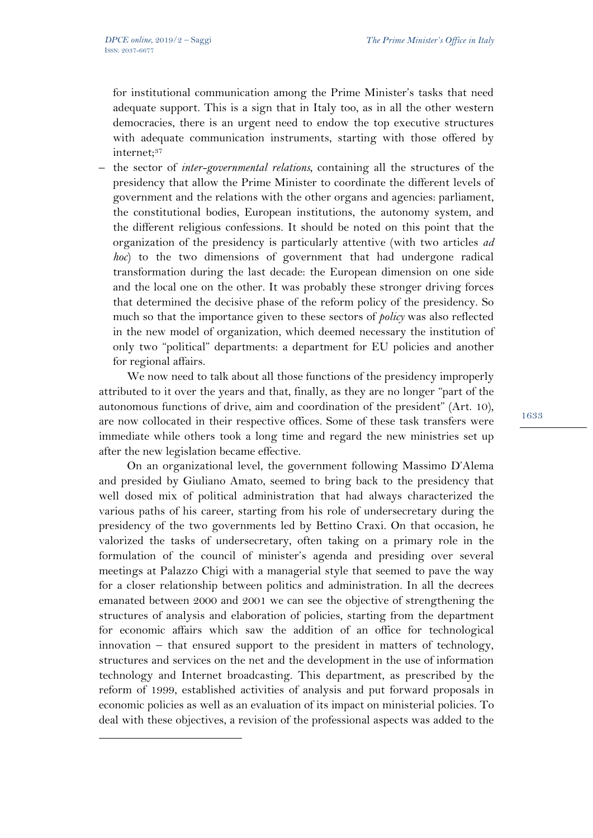$\overline{a}$ 

for institutional communication among the Prime Minister's tasks that need adequate support. This is a sign that in Italy too, as in all the other western democracies, there is an urgent need to endow the top executive structures with adequate communication instruments, starting with those offered by internet:<sup>37</sup>

– the sector of *inter-governmental relations*, containing all the structures of the presidency that allow the Prime Minister to coordinate the different levels of government and the relations with the other organs and agencies: parliament, the constitutional bodies, European institutions, the autonomy system, and the different religious confessions. It should be noted on this point that the organization of the presidency is particularly attentive (with two articles *ad hoc*) to the two dimensions of government that had undergone radical transformation during the last decade: the European dimension on one side and the local one on the other. It was probably these stronger driving forces that determined the decisive phase of the reform policy of the presidency. So much so that the importance given to these sectors of *policy* was also reflected in the new model of organization, which deemed necessary the institution of only two "political" departments: a department for EU policies and another for regional affairs.

We now need to talk about all those functions of the presidency improperly attributed to it over the years and that, finally, as they are no longer "part of the autonomous functions of drive, aim and coordination of the president" (Art. 10), are now collocated in their respective offices. Some of these task transfers were immediate while others took a long time and regard the new ministries set up after the new legislation became effective.

On an organizational level, the government following Massimo D'Alema and presided by Giuliano Amato, seemed to bring back to the presidency that well dosed mix of political administration that had always characterized the various paths of his career, starting from his role of undersecretary during the presidency of the two governments led by Bettino Craxi. On that occasion, he valorized the tasks of undersecretary, often taking on a primary role in the formulation of the council of minister's agenda and presiding over several meetings at Palazzo Chigi with a managerial style that seemed to pave the way for a closer relationship between politics and administration. In all the decrees emanated between 2000 and 2001 we can see the objective of strengthening the structures of analysis and elaboration of policies, starting from the department for economic affairs which saw the addition of an office for technological innovation – that ensured support to the president in matters of technology, structures and services on the net and the development in the use of information technology and Internet broadcasting. This department, as prescribed by the reform of 1999, established activities of analysis and put forward proposals in economic policies as well as an evaluation of its impact on ministerial policies. To deal with these objectives, a revision of the professional aspects was added to the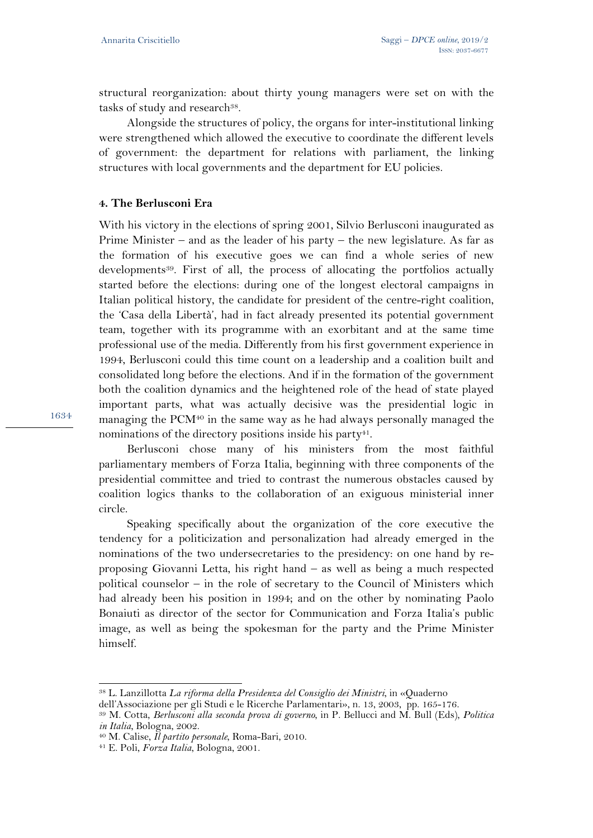structural reorganization: about thirty young managers were set on with the tasks of study and research<sup>38</sup>.

Alongside the structures of policy, the organs for inter-institutional linking were strengthened which allowed the executive to coordinate the different levels of government: the department for relations with parliament, the linking structures with local governments and the department for EU policies.

### **4. The Berlusconi Era**

With his victory in the elections of spring 2001, Silvio Berlusconi inaugurated as Prime Minister – and as the leader of his party – the new legislature. As far as the formation of his executive goes we can find a whole series of new developments<sup>39</sup>. First of all, the process of allocating the portfolios actually started before the elections: during one of the longest electoral campaigns in Italian political history, the candidate for president of the centre-right coalition, the 'Casa della Libertà', had in fact already presented its potential government team, together with its programme with an exorbitant and at the same time professional use of the media. Differently from his first government experience in 1994, Berlusconi could this time count on a leadership and a coalition built and consolidated long before the elections. And if in the formation of the government both the coalition dynamics and the heightened role of the head of state played important parts, what was actually decisive was the presidential logic in managing the PCM40 in the same way as he had always personally managed the nominations of the directory positions inside his party<sup>41</sup>.

Berlusconi chose many of his ministers from the most faithful parliamentary members of Forza Italia, beginning with three components of the presidential committee and tried to contrast the numerous obstacles caused by coalition logics thanks to the collaboration of an exiguous ministerial inner circle.

Speaking specifically about the organization of the core executive the tendency for a politicization and personalization had already emerged in the nominations of the two undersecretaries to the presidency: on one hand by reproposing Giovanni Letta, his right hand – as well as being a much respected political counselor – in the role of secretary to the Council of Ministers which had already been his position in 1994; and on the other by nominating Paolo Bonaiuti as director of the sector for Communication and Forza Italia's public image, as well as being the spokesman for the party and the Prime Minister himself.

 $\overline{a}$ 

<sup>38</sup> L. Lanzillotta *La riforma della Presidenza del Consiglio dei Ministri*, in «Quaderno

<sup>&</sup>lt;sup>39</sup> M. Cotta, *Berlusconi alla seconda prova di governo*, in P. Bellucci and M. Bull (Eds), *Politica in Italia*, Bologna, 2002. 40 M. Calise, *Il partito personale*, Roma-Bari, 2010. 41 E. Poli, *Forza Italia*, Bologna, 2001.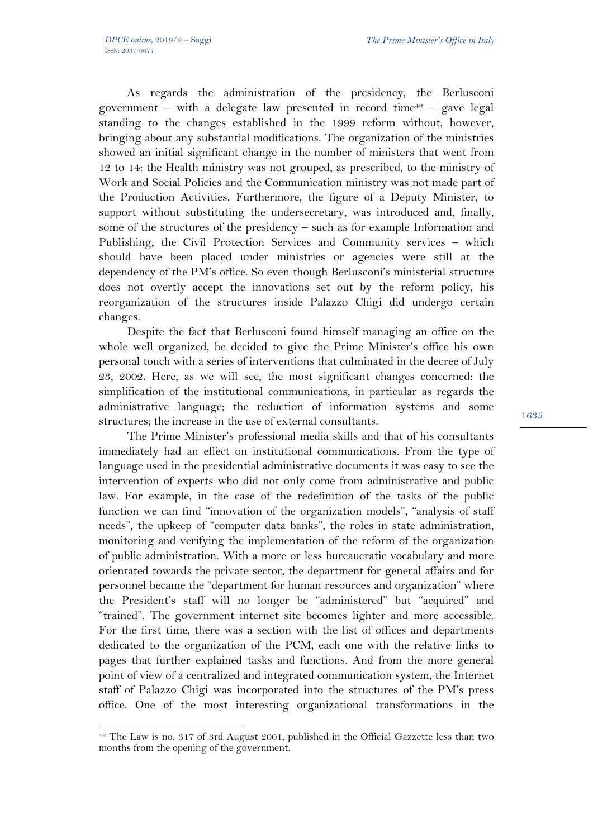$\overline{a}$ 

As regards the administration of the presidency, the Berlusconi government – with a delegate law presented in record time<sup>42</sup> – gave legal standing to the changes established in the 1999 reform without, however, bringing about any substantial modifications. The organization of the ministries showed an initial significant change in the number of ministers that went from 12 to 14: the Health ministry was not grouped, as prescribed, to the ministry of Work and Social Policies and the Communication ministry was not made part of the Production Activities. Furthermore, the figure of a Deputy Minister, to support without substituting the undersecretary, was introduced and, finally, some of the structures of the presidency – such as for example Information and Publishing, the Civil Protection Services and Community services – which should have been placed under ministries or agencies were still at the dependency of the PM's office. So even though Berlusconi's ministerial structure does not overtly accept the innovations set out by the reform policy, his reorganization of the structures inside Palazzo Chigi did undergo certain changes.

Despite the fact that Berlusconi found himself managing an office on the whole well organized, he decided to give the Prime Minister's office his own personal touch with a series of interventions that culminated in the decree of July 23, 2002. Here, as we will see, the most significant changes concerned: the simplification of the institutional communications, in particular as regards the administrative language; the reduction of information systems and some structures; the increase in the use of external consultants.

The Prime Minister's professional media skills and that of his consultants immediately had an effect on institutional communications. From the type of language used in the presidential administrative documents it was easy to see the intervention of experts who did not only come from administrative and public law. For example, in the case of the redefinition of the tasks of the public function we can find "innovation of the organization models", "analysis of staff needs", the upkeep of "computer data banks", the roles in state administration, monitoring and verifying the implementation of the reform of the organization of public administration. With a more or less bureaucratic vocabulary and more orientated towards the private sector, the department for general affairs and for personnel became the "department for human resources and organization" where the President's staff will no longer be "administered" but "acquired" and "trained". The government internet site becomes lighter and more accessible. For the first time, there was a section with the list of offices and departments dedicated to the organization of the PCM, each one with the relative links to pages that further explained tasks and functions. And from the more general point of view of a centralized and integrated communication system, the Internet staff of Palazzo Chigi was incorporated into the structures of the PM's press office. One of the most interesting organizational transformations in the

<sup>42</sup> The Law is no. 317 of 3rd August 2001, published in the Official Gazzette less than two months from the opening of the government.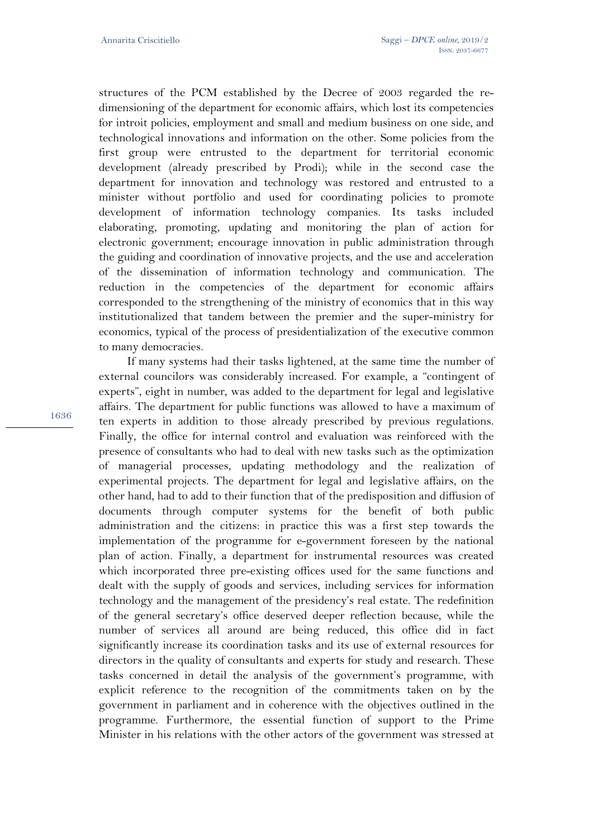structures of the PCM established by the Decree of 2003 regarded the redimensioning of the department for economic affairs, which lost its competencies for introit policies, employment and small and medium business on one side, and technological innovations and information on the other. Some policies from the first group were entrusted to the department for territorial economic development (already prescribed by Prodi); while in the second case the department for innovation and technology was restored and entrusted to a minister without portfolio and used for coordinating policies to promote development of information technology companies. Its tasks included elaborating, promoting, updating and monitoring the plan of action for electronic government; encourage innovation in public administration through the guiding and coordination of innovative projects, and the use and acceleration of the dissemination of information technology and communication. The reduction in the competencies of the department for economic affairs corresponded to the strengthening of the ministry of economics that in this way institutionalized that tandem between the premier and the super-ministry for economics, typical of the process of presidentialization of the executive common to many democracies.

If many systems had their tasks lightened, at the same time the number of external councilors was considerably increased. For example, a "contingent of experts", eight in number, was added to the department for legal and legislative affairs. The department for public functions was allowed to have a maximum of ten experts in addition to those already prescribed by previous regulations. Finally, the office for internal control and evaluation was reinforced with the presence of consultants who had to deal with new tasks such as the optimization of managerial processes, updating methodology and the realization of experimental projects. The department for legal and legislative affairs, on the other hand, had to add to their function that of the predisposition and diffusion of documents through computer systems for the benefit of both public administration and the citizens: in practice this was a first step towards the implementation of the programme for e-government foreseen by the national plan of action. Finally, a department for instrumental resources was created which incorporated three pre-existing offices used for the same functions and dealt with the supply of goods and services, including services for information technology and the management of the presidency's real estate. The redefinition of the general secretary's office deserved deeper reflection because, while the number of services all around are being reduced, this office did in fact significantly increase its coordination tasks and its use of external resources for directors in the quality of consultants and experts for study and research. These tasks concerned in detail the analysis of the government's programme, with explicit reference to the recognition of the commitments taken on by the government in parliament and in coherence with the objectives outlined in the programme. Furthermore, the essential function of support to the Prime Minister in his relations with the other actors of the government was stressed at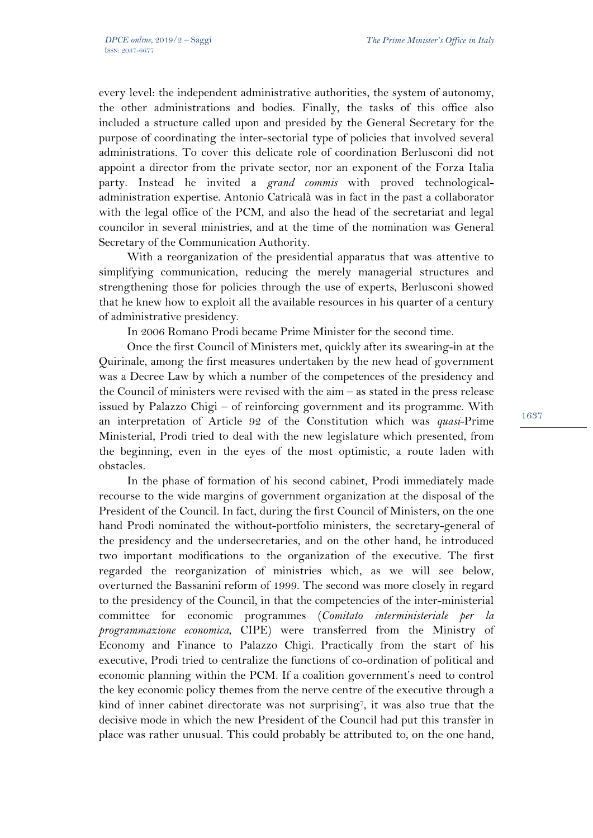every level: the independent administrative authorities, the system of autonomy, the other administrations and bodies. Finally, the tasks of this office also included a structure called upon and presided by the General Secretary for the purpose of coordinating the inter-sectorial type of policies that involved several administrations. To cover this delicate role of coordination Berlusconi did not appoint a director from the private sector, nor an exponent of the Forza Italia party. Instead he invited a *grand commis* with proved technologicaladministration expertise. Antonio Catricalà was in fact in the past a collaborator with the legal office of the PCM, and also the head of the secretariat and legal councilor in several ministries, and at the time of the nomination was General Secretary of the Communication Authority.

With a reorganization of the presidential apparatus that was attentive to simplifying communication, reducing the merely managerial structures and strengthening those for policies through the use of experts, Berlusconi showed that he knew how to exploit all the available resources in his quarter of a century of administrative presidency.

In 2006 Romano Prodi became Prime Minister for the second time.

Once the first Council of Ministers met, quickly after its swearing-in at the Quirinale, among the first measures undertaken by the new head of government was a Decree Law by which a number of the competences of the presidency and the Council of ministers were revised with the aim – as stated in the press release issued by Palazzo Chigi – of reinforcing government and its programme. With an interpretation of Article 92 of the Constitution which was *quasi*-Prime Ministerial, Prodi tried to deal with the new legislature which presented, from the beginning, even in the eyes of the most optimistic, a route laden with obstacles.

In the phase of formation of his second cabinet, Prodi immediately made recourse to the wide margins of government organization at the disposal of the President of the Council. In fact, during the first Council of Ministers, on the one hand Prodi nominated the without-portfolio ministers, the secretary-general of the presidency and the undersecretaries, and on the other hand, he introduced two important modifications to the organization of the executive. The first regarded the reorganization of ministries which, as we will see below, overturned the Bassanini reform of 1999. The second was more closely in regard to the presidency of the Council, in that the competencies of the inter-ministerial committee for economic programmes (*Comitato interministeriale per la programmazione economica*, CIPE) were transferred from the Ministry of Economy and Finance to Palazzo Chigi. Practically from the start of his executive, Prodi tried to centralize the functions of co-ordination of political and economic planning within the PCM. If a coalition government's need to control the key economic policy themes from the nerve centre of the executive through a kind of inner cabinet directorate was not surprising7, it was also true that the decisive mode in which the new President of the Council had put this transfer in place was rather unusual. This could probably be attributed to, on the one hand,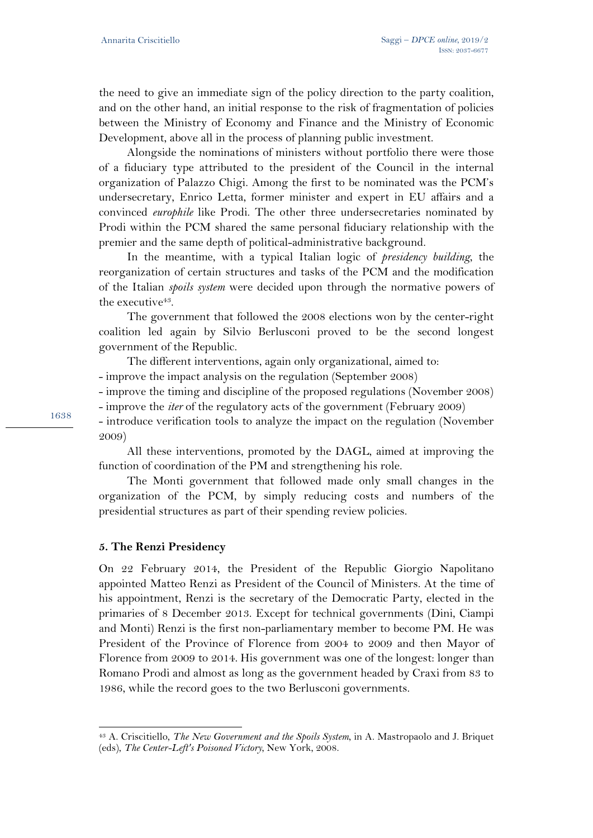the need to give an immediate sign of the policy direction to the party coalition, and on the other hand, an initial response to the risk of fragmentation of policies between the Ministry of Economy and Finance and the Ministry of Economic Development, above all in the process of planning public investment.

Alongside the nominations of ministers without portfolio there were those of a fiduciary type attributed to the president of the Council in the internal organization of Palazzo Chigi. Among the first to be nominated was the PCM's undersecretary, Enrico Letta, former minister and expert in EU affairs and a convinced *europhile* like Prodi. The other three undersecretaries nominated by Prodi within the PCM shared the same personal fiduciary relationship with the premier and the same depth of political-administrative background.

In the meantime, with a typical Italian logic of *presidency building*, the reorganization of certain structures and tasks of the PCM and the modification of the Italian *spoils system* were decided upon through the normative powers of the executive<sup>43</sup>.

The government that followed the 2008 elections won by the center-right coalition led again by Silvio Berlusconi proved to be the second longest government of the Republic.

The different interventions, again only organizational, aimed to:

- improve the impact analysis on the regulation (September 2008)

- improve the timing and discipline of the proposed regulations (November 2008)

- improve the *iter* of the regulatory acts of the government (February 2009)

- introduce verification tools to analyze the impact on the regulation (November 2009)

All these interventions, promoted by the DAGL, aimed at improving the function of coordination of the PM and strengthening his role.

The Monti government that followed made only small changes in the organization of the PCM, by simply reducing costs and numbers of the presidential structures as part of their spending review policies.

## **5. The Renzi Presidency**

 $\overline{a}$ 

On 22 February 2014, the President of the Republic Giorgio Napolitano appointed Matteo Renzi as President of the Council of Ministers. At the time of his appointment, Renzi is the secretary of the Democratic Party, elected in the primaries of 8 December 2013. Except for technical governments (Dini, Ciampi and Monti) Renzi is the first non-parliamentary member to become PM. He was President of the Province of Florence from 2004 to 2009 and then Mayor of Florence from 2009 to 2014. His government was one of the longest: longer than Romano Prodi and almost as long as the government headed by Craxi from 83 to 1986, while the record goes to the two Berlusconi governments.

<sup>43</sup> A. Criscitiello, *The New Government and the Spoils System*, in A. Mastropaolo and J. Briquet (eds), *The Center-Left's Poisoned Victory*, New York, 2008.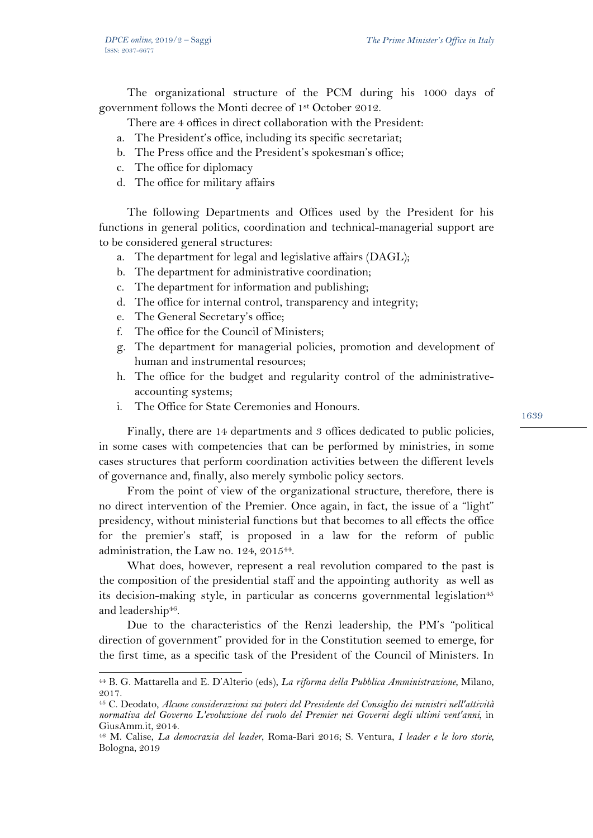The organizational structure of the PCM during his 1000 days of government follows the Monti decree of 1st October 2012.

There are 4 offices in direct collaboration with the President:

- a. The President's office, including its specific secretariat;
- b. The Press office and the President's spokesman's office;
- c. The office for diplomacy
- d. The office for military affairs

The following Departments and Offices used by the President for his functions in general politics, coordination and technical-managerial support are to be considered general structures:

- a. The department for legal and legislative affairs (DAGL);
- b. The department for administrative coordination;
- c. The department for information and publishing;
- d. The office for internal control, transparency and integrity;
- e. The General Secretary's office;

 $\overline{a}$ 

- f. The office for the Council of Ministers;
- g. The department for managerial policies, promotion and development of human and instrumental resources;
- h. The office for the budget and regularity control of the administrativeaccounting systems;
- i. The Office for State Ceremonies and Honours.

Finally, there are 14 departments and 3 offices dedicated to public policies, in some cases with competencies that can be performed by ministries, in some cases structures that perform coordination activities between the different levels of governance and, finally, also merely symbolic policy sectors.

From the point of view of the organizational structure, therefore, there is no direct intervention of the Premier. Once again, in fact, the issue of a "light" presidency, without ministerial functions but that becomes to all effects the office for the premier's staff, is proposed in a law for the reform of public administration, the Law no. 124, 2015<sup>44</sup>.

What does, however, represent a real revolution compared to the past is the composition of the presidential staff and the appointing authority as well as its decision-making style, in particular as concerns governmental legislation<sup>45</sup> and leadership<sup>46</sup>.

Due to the characteristics of the Renzi leadership, the PM's "political direction of government" provided for in the Constitution seemed to emerge, for the first time, as a specific task of the President of the Council of Ministers. In

<sup>44</sup> B. G. Mattarella and E. D'Alterio (eds), *La riforma della Pubblica Amministrazione*, Milano, 2017.

<sup>45</sup> C. Deodato, *Alcune considerazioni sui poteri del Presidente del Consiglio dei ministri nell'attività normativa del Governo L'evoluzione del ruolo del Premier nei Governi degli ultimi vent'anni,* in GiusAmm.it, 2014.

<sup>46</sup> M. Calise, *La democrazia del leader*, Roma-Bari 2016; S. Ventura, *I leader e le loro storie*, Bologna, 2019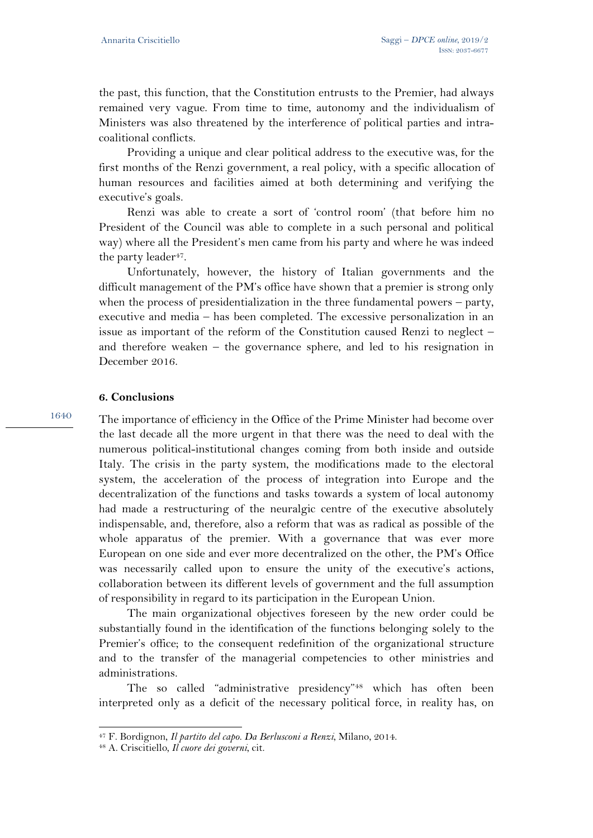the past, this function, that the Constitution entrusts to the Premier, had always remained very vague. From time to time, autonomy and the individualism of Ministers was also threatened by the interference of political parties and intracoalitional conflicts.

Providing a unique and clear political address to the executive was, for the first months of the Renzi government, a real policy, with a specific allocation of human resources and facilities aimed at both determining and verifying the executive's goals.

Renzi was able to create a sort of 'control room' (that before him no President of the Council was able to complete in a such personal and political way) where all the President's men came from his party and where he was indeed the party leader<sup>47</sup>.

Unfortunately, however, the history of Italian governments and the difficult management of the PM's office have shown that a premier is strong only when the process of presidentialization in the three fundamental powers – party, executive and media – has been completed. The excessive personalization in an issue as important of the reform of the Constitution caused Renzi to neglect – and therefore weaken – the governance sphere, and led to his resignation in December 2016.

### **6. Conclusions**

1640

The importance of efficiency in the Office of the Prime Minister had become over the last decade all the more urgent in that there was the need to deal with the numerous political-institutional changes coming from both inside and outside Italy. The crisis in the party system, the modifications made to the electoral system, the acceleration of the process of integration into Europe and the decentralization of the functions and tasks towards a system of local autonomy had made a restructuring of the neuralgic centre of the executive absolutely indispensable, and, therefore, also a reform that was as radical as possible of the whole apparatus of the premier. With a governance that was ever more European on one side and ever more decentralized on the other, the PM's Office was necessarily called upon to ensure the unity of the executive's actions, collaboration between its different levels of government and the full assumption of responsibility in regard to its participation in the European Union.

The main organizational objectives foreseen by the new order could be substantially found in the identification of the functions belonging solely to the Premier's office; to the consequent redefinition of the organizational structure and to the transfer of the managerial competencies to other ministries and administrations.

The so called "administrative presidency"48 which has often been interpreted only as a deficit of the necessary political force, in reality has, on

<sup>47</sup> F. Bordignon, *Il partito del capo. Da Berlusconi a Renzi*, Milano, 2014. 48 A. Criscitiello*, Il cuore dei governi*, cit.